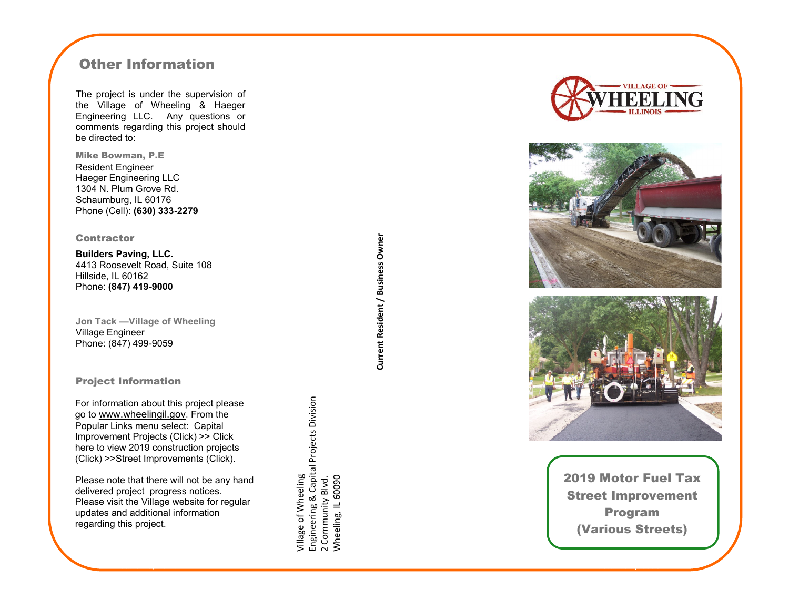# Other Information

The project is under the supervision of the Village of Wheeling & Haeger Engineering LLC. Any questions or comments regarding this project should be directed to:

Mike Bowman, P.E Resident Engineer Haeger Engineering LLC 1304 N. Plum Grove Rd. Schaumburg, IL 60176 Phone (Cell): **(630) 333 -2279**

### **Contractor**

**Builders Paving, LLC.** 4413 Roosevelt Road, Suite 108 Hillside, IL 60162 Phone: **(847) 419 -9000**

**Jon Tack —Village of Wheeling** Village Engineer Phone: (847) 499 -9059

## Project Information

For information about this project please go to [www.wheelingil.gov](http://www.wheelingil.gov/Services/PublicWorks/CapitalProjects/2014_Corrugated_Pipe_Replacement.asp). From the Popular Links menu select: Capital Improvement Projects (Click) >> Click here to view 2019 construction projects (Click) >>Street Improvements (Click).

Please note that there will not be any hand delivered project progress notices. Please visit the Village website for regular updates and additional information regarding this project.

Engineering & Capital Projects Division<br>2 Community Blvd.<br>Wheeling, IL 60090 Engineering & Capital Projects Division village of Wheeling Village of Wheeling Wheeling, IL 60090 2 Community Blvd.







2019 Motor Fuel Tax Street Improvement Program (Various Streets)

Current Resident / Business Owner **Current Resident / Business Owner**

June 10, 2014 Volume 1, Issue 1